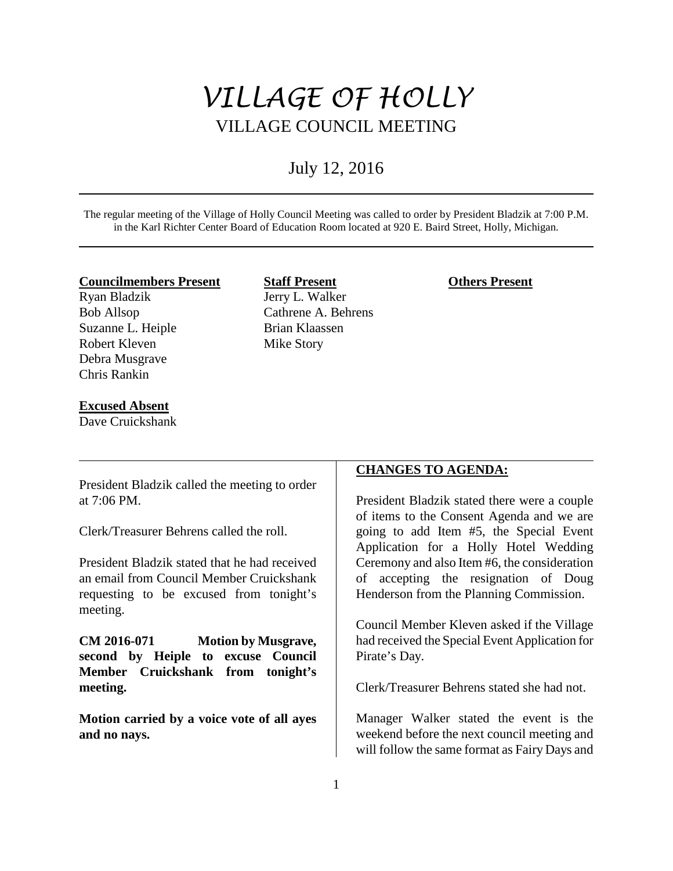# *VILLAGE OF HOLLY* VILLAGE COUNCIL MEETING

# July 12, 2016

The regular meeting of the Village of Holly Council Meeting was called to order by President Bladzik at 7:00 P.M. in the Karl Richter Center Board of Education Room located at 920 E. Baird Street, Holly, Michigan.

#### **Councilmembers Present**

Ryan Bladzik Bob Allsop Suzanne L. Heiple Robert Kleven Debra Musgrave Chris Rankin

## **Excused Absent**

Dave Cruickshank

# **Staff Present** Jerry L. Walker Cathrene A. Behrens Brian Klaassen

Mike Story

# **Others Present**

President Bladzik called the meeting to order at 7:06 PM.

Clerk/Treasurer Behrens called the roll.

President Bladzik stated that he had received an email from Council Member Cruickshank requesting to be excused from tonight's meeting.

**CM 2016-071 Motion by Musgrave, second by Heiple to excuse Council Member Cruickshank from tonight's meeting.** 

**Motion carried by a voice vote of all ayes and no nays.** 

# **CHANGES TO AGENDA:**

President Bladzik stated there were a couple of items to the Consent Agenda and we are going to add Item #5, the Special Event Application for a Holly Hotel Wedding Ceremony and also Item #6, the consideration of accepting the resignation of Doug Henderson from the Planning Commission.

Council Member Kleven asked if the Village had received the Special Event Application for Pirate's Day.

Clerk/Treasurer Behrens stated she had not.

Manager Walker stated the event is the weekend before the next council meeting and will follow the same format as Fairy Days and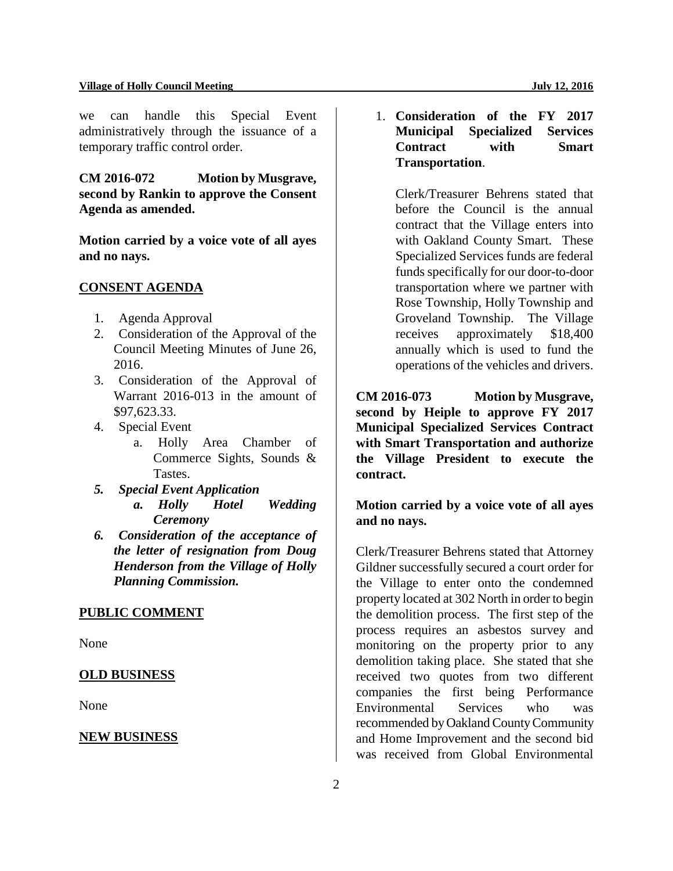#### **Village of Holly Council Meeting July 12, 2016**

we can handle this Special Event administratively through the issuance of a temporary traffic control order.

**CM 2016-072 Motion by Musgrave, second by Rankin to approve the Consent Agenda as amended.**

**Motion carried by a voice vote of all ayes and no nays.** 

#### **CONSENT AGENDA**

- 1. Agenda Approval
- 2. Consideration of the Approval of the Council Meeting Minutes of June 26, 2016.
- 3. Consideration of the Approval of Warrant 2016-013 in the amount of \$97,623.33.
- 4. Special Event
	- a. Holly Area Chamber of Commerce Sights, Sounds & Tastes.
- *5. Special Event Application a. Holly Hotel Wedding Ceremony*
- *6. Consideration of the acceptance of the letter of resignation from Doug Henderson from the Village of Holly Planning Commission.*

# **PUBLIC COMMENT**

None

#### **OLD BUSINESS**

None

#### **NEW BUSINESS**

1. **Consideration of the FY 2017 Municipal Specialized Services Contract with Smart Transportation**.

Clerk/Treasurer Behrens stated that before the Council is the annual contract that the Village enters into with Oakland County Smart. These Specialized Services funds are federal funds specifically for our door-to-door transportation where we partner with Rose Township, Holly Township and Groveland Township. The Village receives approximately \$18,400 annually which is used to fund the operations of the vehicles and drivers.

**CM 2016-073 Motion by Musgrave, second by Heiple to approve FY 2017 Municipal Specialized Services Contract with Smart Transportation and authorize the Village President to execute the contract.**

**Motion carried by a voice vote of all ayes and no nays.** 

Clerk/Treasurer Behrens stated that Attorney Gildner successfully secured a court order for the Village to enter onto the condemned property located at 302 North in order to begin the demolition process. The first step of the process requires an asbestos survey and monitoring on the property prior to any demolition taking place. She stated that she received two quotes from two different companies the first being Performance Environmental Services who was recommended by Oakland County Community and Home Improvement and the second bid was received from Global Environmental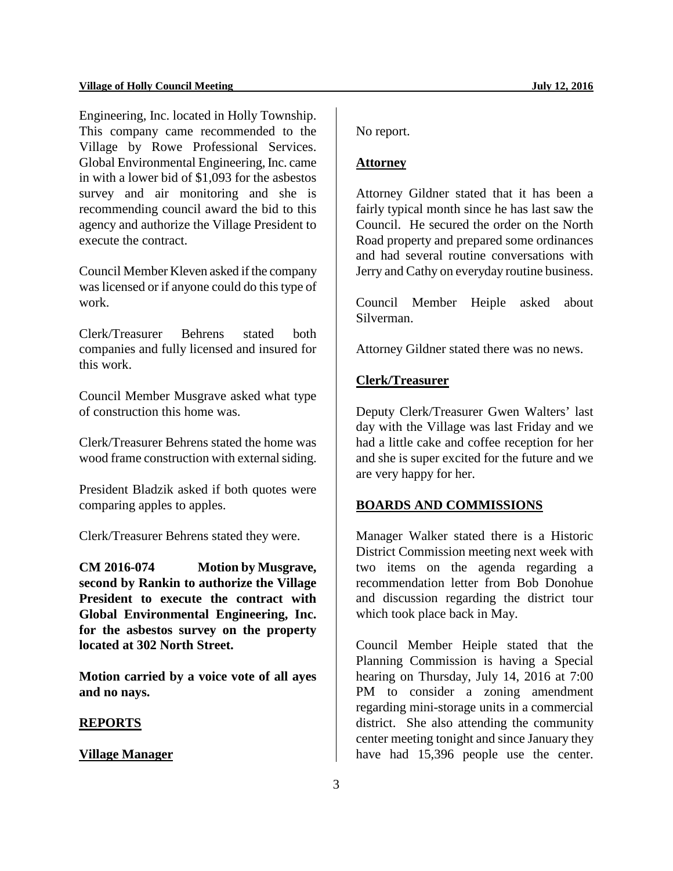#### **Village of Holly Council Meeting July 12, 2016**

Engineering, Inc. located in Holly Township. This company came recommended to the Village by Rowe Professional Services. Global Environmental Engineering, Inc. came in with a lower bid of \$1,093 for the asbestos survey and air monitoring and she is recommending council award the bid to this agency and authorize the Village President to execute the contract.

Council Member Kleven asked if the company was licensed or if anyone could do this type of work.

Clerk/Treasurer Behrens stated both companies and fully licensed and insured for this work.

Council Member Musgrave asked what type of construction this home was.

Clerk/Treasurer Behrens stated the home was wood frame construction with external siding.

President Bladzik asked if both quotes were comparing apples to apples.

Clerk/Treasurer Behrens stated they were.

**CM 2016-074 Motion by Musgrave, second by Rankin to authorize the Village President to execute the contract with Global Environmental Engineering, Inc. for the asbestos survey on the property located at 302 North Street.** 

**Motion carried by a voice vote of all ayes and no nays.** 

#### **REPORTS**

#### **Village Manager**

No report.

#### **Attorney**

Attorney Gildner stated that it has been a fairly typical month since he has last saw the Council. He secured the order on the North Road property and prepared some ordinances and had several routine conversations with Jerry and Cathy on everyday routine business.

Council Member Heiple asked about Silverman.

Attorney Gildner stated there was no news.

# **Clerk/Treasurer**

Deputy Clerk/Treasurer Gwen Walters' last day with the Village was last Friday and we had a little cake and coffee reception for her and she is super excited for the future and we are very happy for her.

#### **BOARDS AND COMMISSIONS**

Manager Walker stated there is a Historic District Commission meeting next week with two items on the agenda regarding a recommendation letter from Bob Donohue and discussion regarding the district tour which took place back in May.

Council Member Heiple stated that the Planning Commission is having a Special hearing on Thursday, July 14, 2016 at 7:00 PM to consider a zoning amendment regarding mini-storage units in a commercial district. She also attending the community center meeting tonight and since January they have had 15,396 people use the center.